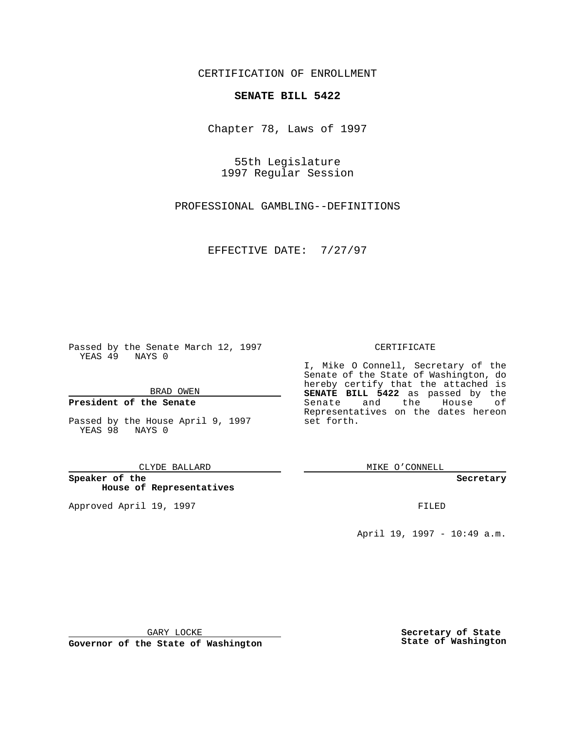CERTIFICATION OF ENROLLMENT

# **SENATE BILL 5422**

Chapter 78, Laws of 1997

55th Legislature 1997 Regular Session

PROFESSIONAL GAMBLING--DEFINITIONS

EFFECTIVE DATE: 7/27/97

Passed by the Senate March 12, 1997 YEAS 49 NAYS 0

BRAD OWEN

### **President of the Senate**

Passed by the House April 9, 1997 YEAS 98 NAYS 0

CLYDE BALLARD

**Speaker of the House of Representatives**

Approved April 19, 1997 **FILED** 

### CERTIFICATE

I, Mike O Connell, Secretary of the Senate of the State of Washington, do hereby certify that the attached is **SENATE BILL 5422** as passed by the Senate and the House of Representatives on the dates hereon set forth.

MIKE O'CONNELL

**Secretary**

April 19, 1997 - 10:49 a.m.

GARY LOCKE

**Governor of the State of Washington**

**Secretary of State State of Washington**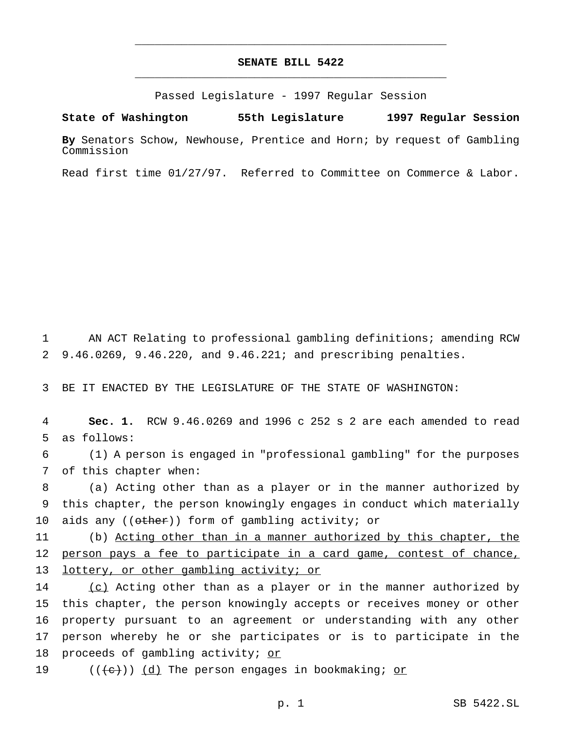# **SENATE BILL 5422** \_\_\_\_\_\_\_\_\_\_\_\_\_\_\_\_\_\_\_\_\_\_\_\_\_\_\_\_\_\_\_\_\_\_\_\_\_\_\_\_\_\_\_\_\_\_\_

\_\_\_\_\_\_\_\_\_\_\_\_\_\_\_\_\_\_\_\_\_\_\_\_\_\_\_\_\_\_\_\_\_\_\_\_\_\_\_\_\_\_\_\_\_\_\_

Passed Legislature - 1997 Regular Session

#### **State of Washington 55th Legislature 1997 Regular Session**

**By** Senators Schow, Newhouse, Prentice and Horn; by request of Gambling Commission

Read first time 01/27/97. Referred to Committee on Commerce & Labor.

1 AN ACT Relating to professional gambling definitions; amending RCW 2 9.46.0269, 9.46.220, and 9.46.221; and prescribing penalties.

3 BE IT ENACTED BY THE LEGISLATURE OF THE STATE OF WASHINGTON:

4 **Sec. 1.** RCW 9.46.0269 and 1996 c 252 s 2 are each amended to read 5 as follows:

6 (1) A person is engaged in "professional gambling" for the purposes 7 of this chapter when:

8 (a) Acting other than as a player or in the manner authorized by 9 this chapter, the person knowingly engages in conduct which materially 10 aids any ((other)) form of gambling activity; or

11 (b) Acting other than in a manner authorized by this chapter, the 12 person pays a fee to participate in a card game, contest of chance, 13 lottery, or other gambling activity; or

14 (c) Acting other than as a player or in the manner authorized by 15 this chapter, the person knowingly accepts or receives money or other 16 property pursuant to an agreement or understanding with any other 17 person whereby he or she participates or is to participate in the 18 proceeds of gambling activity; or

19  $((\{e\})$   $(d)$  The person engages in bookmaking; or

p. 1 SB 5422.SL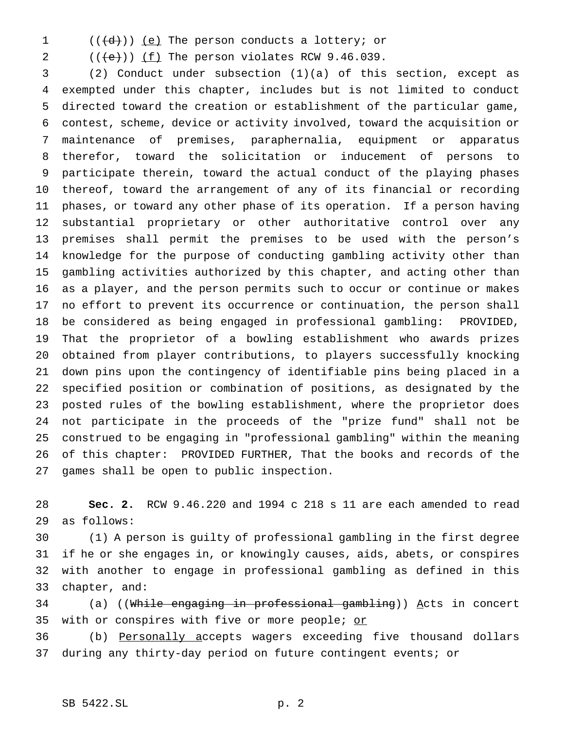- 
- $((\{d\})$   $(e)$  The person conducts a lottery; or

2  $((\text{+e}))(\underline{\text{f}})$  The person violates RCW 9.46.039.

 (2) Conduct under subsection (1)(a) of this section, except as exempted under this chapter, includes but is not limited to conduct directed toward the creation or establishment of the particular game, contest, scheme, device or activity involved, toward the acquisition or maintenance of premises, paraphernalia, equipment or apparatus therefor, toward the solicitation or inducement of persons to participate therein, toward the actual conduct of the playing phases thereof, toward the arrangement of any of its financial or recording phases, or toward any other phase of its operation. If a person having substantial proprietary or other authoritative control over any premises shall permit the premises to be used with the person's knowledge for the purpose of conducting gambling activity other than gambling activities authorized by this chapter, and acting other than as a player, and the person permits such to occur or continue or makes no effort to prevent its occurrence or continuation, the person shall be considered as being engaged in professional gambling: PROVIDED, That the proprietor of a bowling establishment who awards prizes obtained from player contributions, to players successfully knocking down pins upon the contingency of identifiable pins being placed in a specified position or combination of positions, as designated by the posted rules of the bowling establishment, where the proprietor does not participate in the proceeds of the "prize fund" shall not be construed to be engaging in "professional gambling" within the meaning of this chapter: PROVIDED FURTHER, That the books and records of the games shall be open to public inspection.

 **Sec. 2.** RCW 9.46.220 and 1994 c 218 s 11 are each amended to read as follows:

 (1) A person is guilty of professional gambling in the first degree if he or she engages in, or knowingly causes, aids, abets, or conspires with another to engage in professional gambling as defined in this chapter, and:

34 (a) ((While engaging in professional gambling)) Acts in concert 35 with or conspires with five or more people; or

 (b) Personally accepts wagers exceeding five thousand dollars during any thirty-day period on future contingent events; or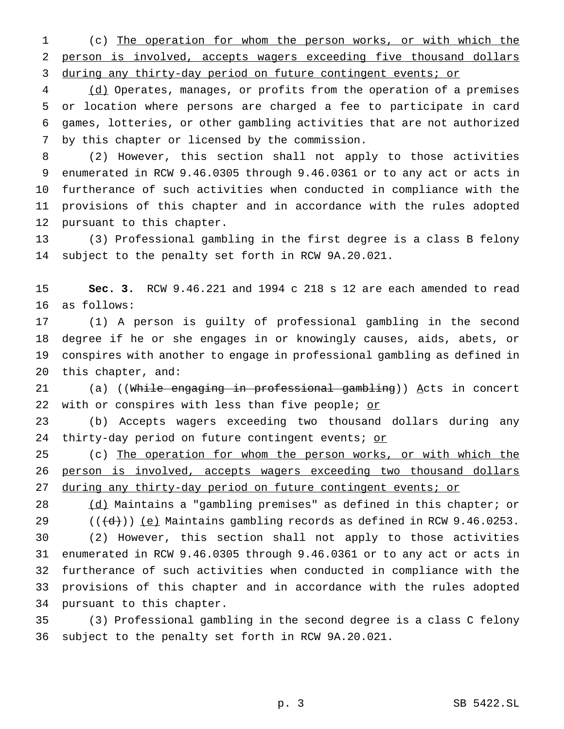(c) The operation for whom the person works, or with which the person is involved, accepts wagers exceeding five thousand dollars 3 during any thirty-day period on future contingent events; or

4 (d) Operates, manages, or profits from the operation of a premises or location where persons are charged a fee to participate in card games, lotteries, or other gambling activities that are not authorized by this chapter or licensed by the commission.

 (2) However, this section shall not apply to those activities enumerated in RCW 9.46.0305 through 9.46.0361 or to any act or acts in furtherance of such activities when conducted in compliance with the provisions of this chapter and in accordance with the rules adopted pursuant to this chapter.

 (3) Professional gambling in the first degree is a class B felony subject to the penalty set forth in RCW 9A.20.021.

 **Sec. 3.** RCW 9.46.221 and 1994 c 218 s 12 are each amended to read as follows:

 (1) A person is guilty of professional gambling in the second degree if he or she engages in or knowingly causes, aids, abets, or conspires with another to engage in professional gambling as defined in this chapter, and:

21 (a) ((While engaging in professional gambling)) Acts in concert 22 with or conspires with less than five people; or

 (b) Accepts wagers exceeding two thousand dollars during any 24 thirty-day period on future contingent events; or

25 (c) The operation for whom the person works, or with which the 26 person is involved, accepts wagers exceeding two thousand dollars during any thirty-day period on future contingent events; or

28 (d) Maintains a "gambling premises" as defined in this chapter; or  $((\{d\})\)$  (e) Maintains gambling records as defined in RCW 9.46.0253.

 (2) However, this section shall not apply to those activities enumerated in RCW 9.46.0305 through 9.46.0361 or to any act or acts in furtherance of such activities when conducted in compliance with the provisions of this chapter and in accordance with the rules adopted pursuant to this chapter.

 (3) Professional gambling in the second degree is a class C felony subject to the penalty set forth in RCW 9A.20.021.